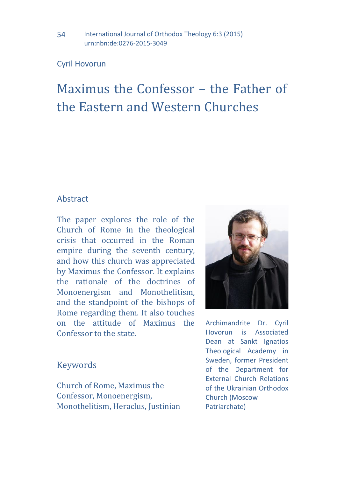### Cyril Hovorun

# Maximus the Confessor – the Father of the Eastern and Western Churches

### **Abstract**

The paper explores the role of the Church of Rome in the theological crisis that occurred in the Roman empire during the seventh century, and how this church was appreciated by Maximus the Confessor. It explains the rationale of the doctrines of Monoenergism and Monothelitism, and the standpoint of the bishops of Rome regarding them. It also touches on the attitude of Maximus the Confessor to the state.

Archimandrite Dr. Cyril Hovorun is Associated Dean at Sankt Ignatios Theological Academy in Sweden, former President of the Department for External Church Relations of the Ukrainian Orthodox Church (Moscow Patriarchate)

# Keywords

Church of Rome, Maximus the Confessor, Monoenergism, Monothelitism, Heraclus, Justinian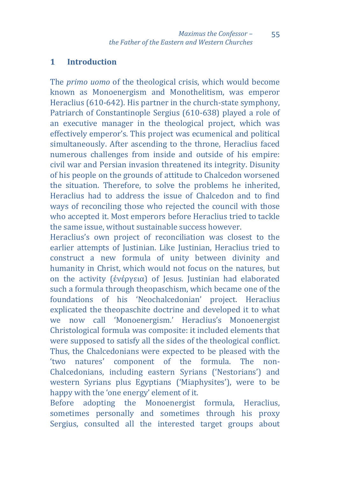#### **1 Introduction**

The *primo uomo* of the theological crisis, which would become known as Monoenergism and Monothelitism, was emperor Heraclius (610-642). His partner in the church-state symphony, Patriarch of Constantinople Sergius (610-638) played a role of an executive manager in the theological project, which was effectively emperor's. This project was ecumenical and political simultaneously. After ascending to the throne, Heraclius faced numerous challenges from inside and outside of his empire: civil war and Persian invasion threatened its integrity. Disunity of his people on the grounds of attitude to Chalcedon worsened the situation. Therefore, to solve the problems he inherited, Heraclius had to address the issue of Chalcedon and to find ways of reconciling those who rejected the council with those who accepted it. Most emperors before Heraclius tried to tackle the same issue, without sustainable success however.

Heraclius's own project of reconciliation was closest to the earlier attempts of Justinian. Like Justinian, Heraclius tried to construct a new formula of unity between divinity and humanity in Christ, which would not focus on the natures, but on the activity (ἐνέργεια) of Jesus. Justinian had elaborated such a formula through theopaschism, which became one of the foundations of his 'Neochalcedonian' project. Heraclius explicated the theopaschite doctrine and developed it to what we now call 'Monoenergism.' Heraclius's Monoenergist Christological formula was composite: it included elements that were supposed to satisfy all the sides of the theological conflict. Thus, the Chalcedonians were expected to be pleased with the 'two natures' component of the formula. The non-Chalcedonians, including eastern Syrians ('Nestorians') and western Syrians plus Egyptians ('Miaphysites'), were to be happy with the 'one energy' element of it.

Before adopting the Monoenergist formula, Heraclius, sometimes personally and sometimes through his proxy Sergius, consulted all the interested target groups about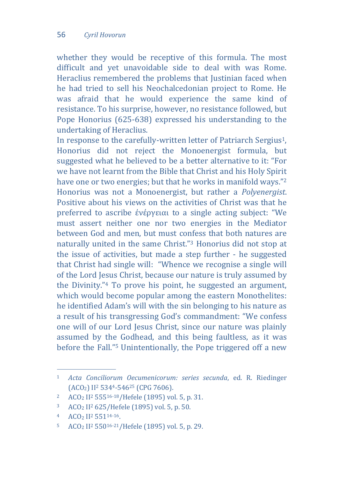whether they would be receptive of this formula. The most difficult and yet unavoidable side to deal with was Rome. Heraclius remembered the problems that Justinian faced when he had tried to sell his Neochalcedonian project to Rome. He was afraid that he would experience the same kind of resistance. To his surprise, however, no resistance followed, but Pope Honorius (625-638) expressed his understanding to the undertaking of Heraclius.

In response to the carefully-written letter of Patriarch Sergius<sup>1</sup>. Honorius did not reject the Monoenergist formula, but suggested what he believed to be a better alternative to it: "For we have not learnt from the Bible that Christ and his Holy Spirit have one or two energies; but that he works in manifold ways."<sup>2</sup> Honorius was not a Monoenergist, but rather a *Polyenergist*. Positive about his views on the activities of Christ was that he preferred to ascribe ἐνέργειαι to a single acting subject: "We must assert neither one nor two energies in the Mediator between God and men, but must confess that both natures are naturally united in the same Christ."<sup>3</sup> Honorius did not stop at the issue of activities, but made a step further - he suggested that Christ had single will: "Whence we recognise a single will of the Lord Jesus Christ, because our nature is truly assumed by the Divinity."<sup>4</sup> To prove his point, he suggested an argument, which would become popular among the eastern Monothelites: he identified Adam's will with the sin belonging to his nature as a result of his transgressing God's commandment: "We confess one will of our Lord Jesus Christ, since our nature was plainly assumed by the Godhead, and this being faultless, as it was before the Fall."<sup>5</sup> Unintentionally, the Pope triggered off a new

<sup>1</sup> *Acta Conciliorum Oecumenicorum: series secunda*, ed. R. Riedinger (ACO2) II<sup>2</sup> 5344-546<sup>25</sup> (CPG 7606).

<sup>2</sup> ACO<sup>2</sup> II<sup>2</sup> 55516-18/Hefele (1895) vol. 5, p. 31.

<sup>3</sup> ACO<sup>2</sup> II<sup>2</sup> 625/Hefele (1895) vol. 5, p. 50.

<sup>4</sup> ACO<sup>2</sup> II<sup>2</sup> 55114-16.

<sup>5</sup> ACO<sup>2</sup> II<sup>2</sup> 55016-21/Hefele (1895) vol. 5, p. 29.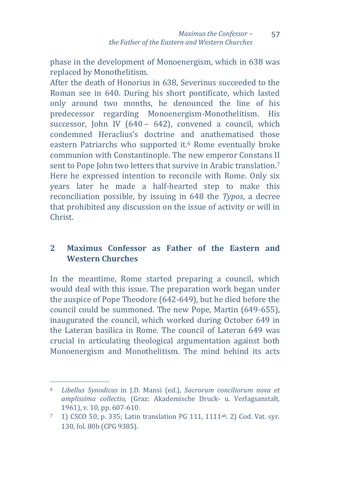57

phase in the development of Monoenergism, which in 638 was replaced by Monothelitism.

After the death of Honorius in 638, Severinus succeeded to the Roman see in 640. During his short pontificate, which lasted only around two months, he denounced the line of his predecessor regarding Monoenergism-Monothelitism. His successor, John IV (640 – 642), convened a council, which condemned Heraclius's doctrine and anathematised those eastern Patriarchs who supported it.<sup>6</sup> Rome eventually broke communion with Constantinople. The new emperor Constans II sent to Pope John two letters that survive in Arabic translation.<sup>7</sup> Here he expressed intention to reconcile with Rome. Only six years later he made a half-hearted step to make this reconciliation possible, by issuing in 648 the *Typos*, a decree that prohibited any discussion on the issue of activity or will in Christ.

# **2 Maximus Confessor as Father of the Eastern and Western Churches**

In the meantime, Rome started preparing a council, which would deal with this issue. The preparation work began under the auspice of Pope Theodore (642-649), but he died before the council could be summoned. The new Pope, Martin (649-655), inaugurated the council, which worked during October 649 in the Lateran basilica in Rome. The council of Lateran 649 was crucial in articulating theological argumentation against both Monoenergism and Monothelitism. The mind behind its acts

<sup>6</sup> *Libellus Synodicus* in J.D. Mansi (ed.), *Sacrorum conciliorum nova et amplissima collectio,* (Graz: Akademische Druck- u. Verlagsanstalt, 1961), v. 10, pp. 607-610.

<sup>7</sup> 1) CSCO 50, p. 335; Latin translation PG 111, 1111ab. 2) Cod. Vat. syr. 130, fol. 80b (CPG 9385).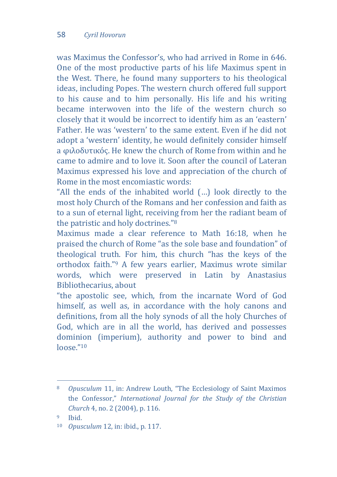was Maximus the Confessor's, who had arrived in Rome in 646. One of the most productive parts of his life Maximus spent in the West. There, he found many supporters to his theological ideas, including Popes. The western church offered full support to his cause and to him personally. His life and his writing became interwoven into the life of the western church so closely that it would be incorrect to identify him as an 'eastern' Father. He was 'western' to the same extent. Even if he did not adopt a 'western' identity, he would definitely consider himself a φιλοδυτικός. He knew the church of Rome from within and he came to admire and to love it. Soon after the council of Lateran Maximus expressed his love and appreciation of the church of Rome in the most encomiastic words:

"All the ends of the inhabited world (…) look directly to the most holy Church of the Romans and her confession and faith as to a sun of eternal light, receiving from her the radiant beam of the patristic and holy doctrines."<sup>8</sup>

Maximus made a clear reference to Math 16:18, when he praised the church of Rome "as the sole base and foundation" of theological truth. For him, this church "has the keys of the orthodox faith."<sup>9</sup> A few years earlier, Maximus wrote similar words, which were preserved in Latin by Anastasius Bibliothecarius, about

"the apostolic see, which, from the incarnate Word of God himself, as well as, in accordance with the holy canons and definitions, from all the holy synods of all the holy Churches of God, which are in all the world, has derived and possesses dominion (imperium), authority and power to bind and  $longe$ ."10

<sup>8</sup> *Opusculum* 11, in: Andrew Louth, "The Ecclesiology of Saint Maximos the Confessor," *International Journal for the Study of the Christian Church* 4, no. 2 (2004), p. 116.

<sup>9</sup> Ibid.

<sup>10</sup> *Opusculum* 12, in: ibid., p. 117.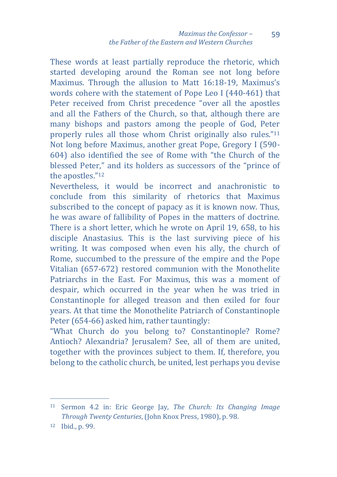These words at least partially reproduce the rhetoric, which started developing around the Roman see not long before Maximus. Through the allusion to Matt 16:18-19, Maximus's words cohere with the statement of Pope Leo I (440-461) that Peter received from Christ precedence "over all the apostles and all the Fathers of the Church, so that, although there are many bishops and pastors among the people of God, Peter properly rules all those whom Christ originally also rules."<sup>11</sup> Not long before Maximus, another great Pope, Gregory I (590- 604) also identified the see of Rome with "the Church of the blessed Peter," and its holders as successors of the "prince of the apostles."<sup>12</sup>

Nevertheless, it would be incorrect and anachronistic to conclude from this similarity of rhetorics that Maximus subscribed to the concept of papacy as it is known now. Thus, he was aware of fallibility of Popes in the matters of doctrine. There is a short letter, which he wrote on April 19, 658, to his disciple Anastasius. This is the last surviving piece of his writing. It was composed when even his ally, the church of Rome, succumbed to the pressure of the empire and the Pope Vitalian (657-672) restored communion with the Monothelite Patriarchs in the East. For Maximus, this was a moment of despair, which occurred in the year when he was tried in Constantinople for alleged treason and then exiled for four years. At that time the Monothelite Patriarch of Constantinople Peter (654-66) asked him, rather tauntingly:

"What Church do you belong to? Constantinople? Rome? Antioch? Alexandria? Jerusalem? See, all of them are united, together with the provinces subject to them. If, therefore, you belong to the catholic church, be united, lest perhaps you devise

<sup>11</sup> Sermon 4.2 in: Eric George Jay, *The Church: Its Changing Image Through Twenty Centuries*, (John Knox Press, 1980), p. 98.

<sup>12</sup> Ibid., p. 99.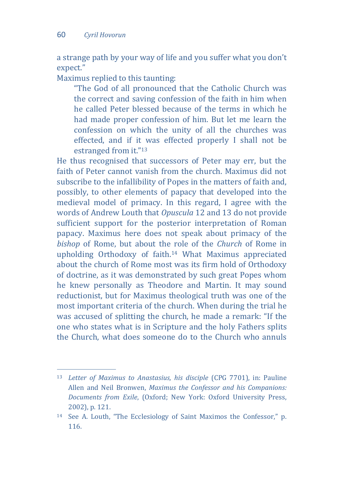$\overline{a}$ 

a strange path by your way of life and you suffer what you don't expect."

Maximus replied to this taunting:

"The God of all pronounced that the Catholic Church was the correct and saving confession of the faith in him when he called Peter blessed because of the terms in which he had made proper confession of him. But let me learn the confession on which the unity of all the churches was effected, and if it was effected properly I shall not be estranged from it."<sup>13</sup>

He thus recognised that successors of Peter may err, but the faith of Peter cannot vanish from the church. Maximus did not subscribe to the infallibility of Popes in the matters of faith and, possibly, to other elements of papacy that developed into the medieval model of primacy. In this regard, I agree with the words of Andrew Louth that *Opuscula* 12 and 13 do not provide sufficient support for the posterior interpretation of Roman papacy. Maximus here does not speak about primacy of the *bishop* of Rome, but about the role of the *Church* of Rome in upholding Orthodoxy of faith.<sup>14</sup> What Maximus appreciated about the church of Rome most was its firm hold of Orthodoxy of doctrine, as it was demonstrated by such great Popes whom he knew personally as Theodore and Martin. It may sound reductionist, but for Maximus theological truth was one of the most important criteria of the church. When during the trial he was accused of splitting the church, he made a remark: "If the one who states what is in Scripture and the holy Fathers splits the Church, what does someone do to the Church who annuls

<sup>13</sup> *Letter of Maximus to Anastasius, his disciple* (CPG 7701), in: Pauline Allen and Neil Bronwen, *Maximus the Confessor and his Companions: Documents from Exile*, (Oxford; New York: Oxford University Press, 2002), p. 121.

<sup>14</sup> See A. Louth, "The Ecclesiology of Saint Maximos the Confessor," p. 116.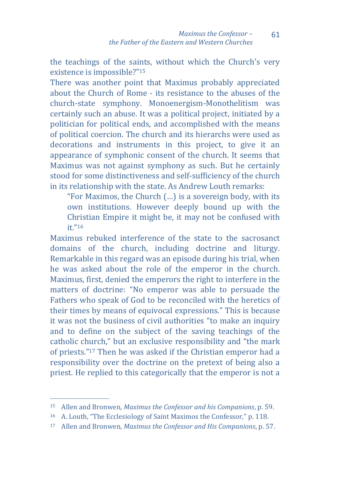61

the teachings of the saints, without which the Church's very existence is impossible?"<sup>15</sup>

There was another point that Maximus probably appreciated about the Church of Rome - its resistance to the abuses of the church-state symphony. Monoenergism-Monothelitism was certainly such an abuse. It was a political project, initiated by a politician for political ends, and accomplished with the means of political coercion. The church and its hierarchs were used as decorations and instruments in this project, to give it an appearance of symphonic consent of the church. It seems that Maximus was not against symphony as such. But he certainly stood for some distinctiveness and self-sufficiency of the church in its relationship with the state. As Andrew Louth remarks:

"For Maximos, the Church (…) is a sovereign body, with its own institutions. However deeply bound up with the Christian Empire it might be, it may not be confused with it."<sup>16</sup>

Maximus rebuked interference of the state to the sacrosanct domains of the church, including doctrine and liturgy. Remarkable in this regard was an episode during his trial, when he was asked about the role of the emperor in the church. Maximus, first, denied the emperors the right to interfere in the matters of doctrine: "No emperor was able to persuade the Fathers who speak of God to be reconciled with the heretics of their times by means of equivocal expressions." This is because it was not the business of civil authorities "to make an inquiry and to define on the subject of the saving teachings of the catholic church," but an exclusive responsibility and "the mark of priests." <sup>17</sup> Then he was asked if the Christian emperor had a responsibility over the doctrine on the pretext of being also a priest. He replied to this categorically that the emperor is not a

<sup>15</sup> Allen and Bronwen, *Maximus the Confessor and his Companions*, p. 59.

<sup>16</sup> A. Louth, "The Ecclesiology of Saint Maximos the Confessor," p. 118.

<sup>17</sup> Allen and Bronwen, *Maximus the Confessor and His Companions*, p. 57.